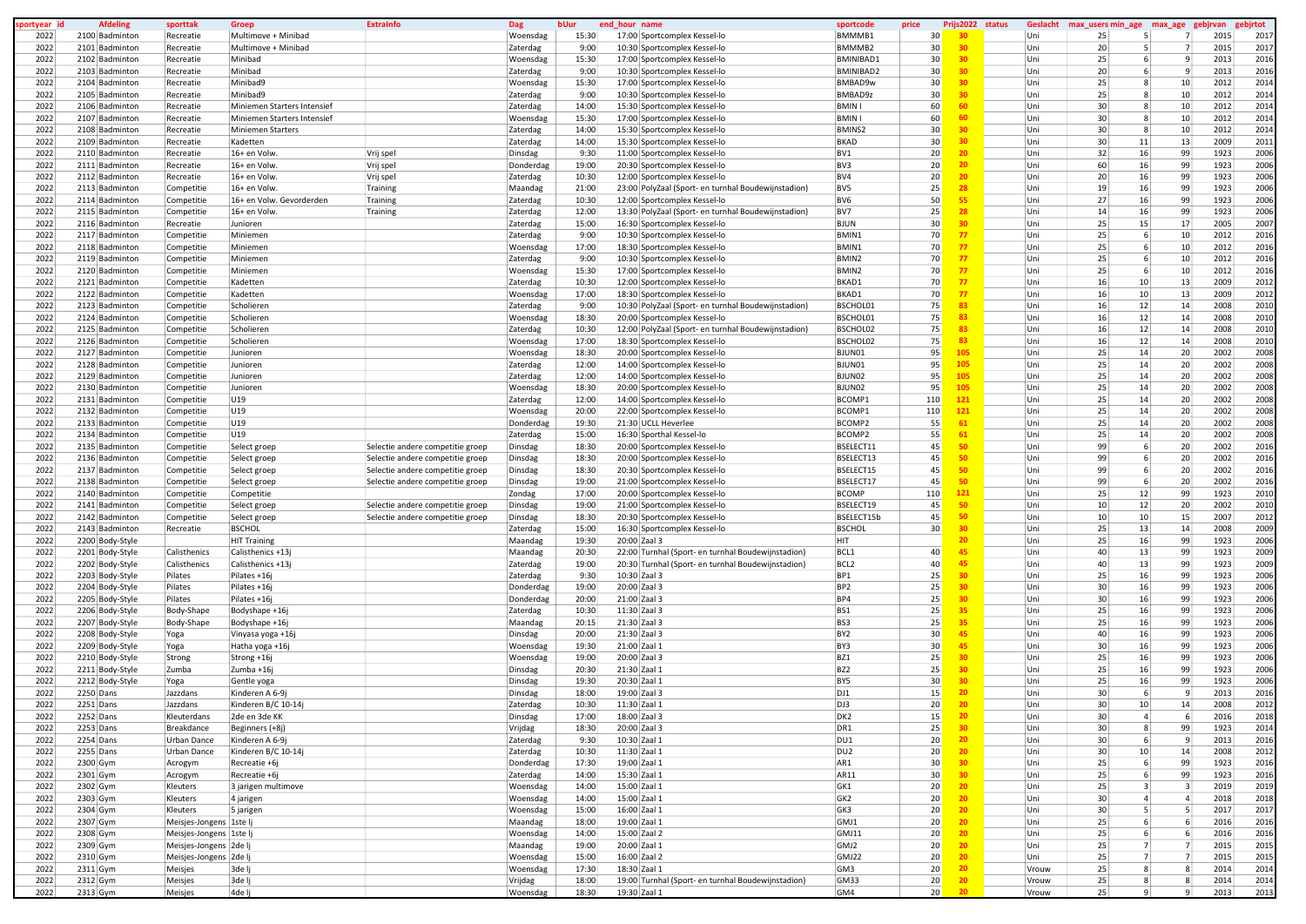| portyear id  |          | Afdeling                           | sporttak                 | <b>Groep</b>                     | <b>Extrainfo</b>                 | <b>Dag</b>           | bUur           | end_hour name                                                                       | sportcode                | price           | Prijs2022       | status | Geslacht   | max_users min_age |                 | max_age                 | gebjrvan     | gebjrtot     |
|--------------|----------|------------------------------------|--------------------------|----------------------------------|----------------------------------|----------------------|----------------|-------------------------------------------------------------------------------------|--------------------------|-----------------|-----------------|--------|------------|-------------------|-----------------|-------------------------|--------------|--------------|
| 2022         |          | 2100 Badminton                     | Recreatie                | Multimove + Minibad              |                                  | Woensdag             | 15:30          | 17:00 Sportcomplex Kessel-lo                                                        | BMMMB1                   | 30              | 30              |        | Uni        | 25                | 5               |                         | 2015         | 201          |
| 2022         |          | 2101 Badminton                     | Recreatie                | Multimove + Minibad              |                                  | Zaterdag             | 9:00           | 10:30 Sportcomplex Kessel-lo                                                        | BMMMB2                   | 30              | 30              |        | Uni        | 20                | 5 <sup>1</sup>  | $\overline{7}$          | 2015         | 2017         |
| 2022         |          | 2102 Badminton                     | Recreatie                | Minibad                          |                                  | Woensdag             | 15:30          | 17:00 Sportcomplex Kessel-lo                                                        | BMINIBAD1                | 30              | 30              |        | Uni        | 25                | 6               | 9                       | 2013         | 2016         |
| 2022         |          | 2103 Badminton                     | Recreatie                | Minibad                          |                                  | Zaterdag             | 9:00           | 10:30 Sportcomplex Kessel-lo                                                        | <b>BMINIBAD2</b>         | 30              | 30              |        | Uni        | 20                | 6               | 9                       | 2013         | 2016         |
| 2022         |          | 2104 Badminton                     | Recreatie                | Minibad9                         |                                  | Woensdag             | 15:30          | 17:00 Sportcomplex Kessel-lo                                                        | BMBAD9w                  | 30              | 30              |        | Uni        | 25                | 8               | 10                      | 2012         | 2014         |
| 2022         |          | 2105 Badminton                     | Recreatie                | Minibad9                         |                                  | Zaterdag             | 9:00           | 10:30 Sportcomplex Kessel-lo                                                        | BMBAD9z                  | 30              | 30              |        | Uni        | 25                | 8               | 10                      | 2012         | 2014         |
| 2022         |          | 2106 Badminton                     | Recreatie                | Miniemen Starters Intensief      |                                  | Zaterdag             | 14:00          | 15:30 Sportcomplex Kessel-lo                                                        | <b>BMINI</b>             | 60              | 60              |        | Uni        | 30 <sup>°</sup>   | 8               | 10                      | 2012         | 2014         |
| 2022         |          | 2107 Badminton                     | Recreatie                | Miniemen Starters Intensief      |                                  | Woensdag             | 15:30          | 17:00 Sportcomplex Kessel-lo                                                        | <b>BMINI</b>             | 60              | 60              |        | Uni        | 30                | 8               | 10                      | 2012         | 2014         |
| 2022         |          | 2108 Badminton                     | Recreatie                | <b>Miniemen Starters</b>         |                                  | Zaterdag             | 14:00          | 15:30 Sportcomplex Kessel-lo                                                        | <b>BMINS2</b>            | 30              | 30              |        | Uni        | 30                | 8               | 10                      | 2012         | 2014         |
| 2022         |          | 2109 Badminton                     | Recreatie                | Kadetten                         |                                  | Zaterdag             | 14:00          | 15:30 Sportcomplex Kessel-lo                                                        | <b>BKAD</b>              | 30              | 30              |        | Uni        | 30 <sup>2</sup>   | 11              | 13                      | 2009         | 2011         |
| 2022         |          | 2110 Badminton                     | Recreatie                | 16+ en Volw                      | Vrij spel                        | Dinsdag              | 9:30           | 11:00 Sportcomplex Kessel-lo                                                        | BV1                      | 20<br>20        | 20<br>20        |        | Uni        | 32<br>60          | 16              | 99                      | 1923         | 2006         |
| 2022<br>2022 |          | 2111 Badminton<br>2112 Badminton   | Recreatie                | 16+ en Volw                      | Vrij spel                        | Donderdag            | 19:00          | 20:30 Sportcomplex Kessel-lo<br>12:00 Sportcomplex Kessel-lo                        | BV3<br>BV4               | 20              | 20              |        | Uni        | 20                | 16              | 99<br>99                | 1923<br>1923 | 2006         |
| 2022         |          | 2113 Badminton                     | Recreatie                | 16+ en Volw<br>16+ en Volw       | Vrij spel<br>Training            | Zaterdag<br>Maandag  | 10:30<br>21:00 |                                                                                     | BV <sub>5</sub>          | 25              | 28              |        | Uni<br>Uni | 19                | 16<br>16        | 99                      | 1923         | 2006<br>2006 |
| 2022         |          | 2114 Badminton                     | Competitie               | 16+ en Volw. Gevorderden         |                                  |                      | 10:30          | 23:00 PolyZaal (Sport- en turnhal Boudewijnstadion)<br>12:00 Sportcomplex Kessel-lo | BV <sub>6</sub>          | 50              | 55              |        | Uni        | 27                | 16              | 99                      | 1923         | 2006         |
| 2022         |          | 2115 Badminton                     | Competitie<br>Competitie | 16+ en Volw                      | Training<br>Training             | Zaterdag<br>Zaterdag | 12:00          | 13:30 PolyZaal (Sport- en turnhal Boudewijnstadion)                                 | BV7                      | 25              | 28              |        | Uni        | 14                | 16              | 99                      | 1923         | 2006         |
| 2022         |          | 2116 Badminton                     | Recreatie                | Junioren                         |                                  | Zaterdag             | 15:00          | 16:30 Sportcomplex Kessel-lo                                                        | <b>BJUN</b>              | 30              | 30              |        | Uni        | 25                | 15              | 17                      | 2005         | 2007         |
| 2022         |          | 2117 Badminton                     | Competitie               | Miniemen                         |                                  | Zaterdag             | 9:00           | 10:30 Sportcomplex Kessel-lo                                                        | BMIN1                    | 70              | 77              |        | Uni        | 25                | 6 <sup>1</sup>  | 10                      | 2012         | 2016         |
| 2022         |          | 2118 Badminton                     | Competitie               | Miniemen                         |                                  | Woensdag             | 17:00          | 18:30 Sportcomplex Kessel-lo                                                        | BMIN1                    | 70              | 77              |        | Uni        | 25                | 6               | 10                      | 2012         | 2016         |
| 2022         |          | 2119 Badminton                     | Competitie               | Miniemen                         |                                  | Zaterdag             | 9:00           | 10:30 Sportcomplex Kessel-lo                                                        | BMIN2                    | 70              | 77              |        | Uni        | 25                | 6               | 10                      | 2012         | 2016         |
| 2022         |          | 2120 Badminton                     | Competitie               | Miniemen                         |                                  | Woensdag             | 15:30          | 17:00 Sportcomplex Kessel-lo                                                        | BMIN2                    | 70              | 77              |        | Uni        | 25                | 6 <sup>1</sup>  | 10                      | 2012         | 2016         |
| 2022         |          | 2121 Badminton                     | Competitie               | Kadetten                         |                                  | Zaterdag             | 10:30          | 12:00 Sportcomplex Kessel-lo                                                        | BKAD1                    | 70              | 77              |        | Uni        | 16                | 10 <sup>1</sup> | 13                      | 2009         | 2012         |
| 2022         |          | 2122 Badminton                     | Competitie               | Kadetten                         |                                  | Woensdag             | 17:00          | 18:30 Sportcomplex Kessel-lo                                                        | BKAD1                    | 70              | 77              |        | Uni        | 16                | 10              | 13                      | 2009         | 2012         |
| 2022         |          | 2123 Badminton                     | Competitie               | Scholieren                       |                                  | Zaterdag             | 9:00           | 10:30 PolyZaal (Sport- en turnhal Boudewijnstadion                                  | BSCHOL01                 | 75              | 83              |        | Uni        | 16                | 12              | 14                      | 2008         | 2010         |
| 2022         |          | 2124 Badminton                     | Competitie               | Scholieren                       |                                  | Woensdag             | 18:30          | 20:00 Sportcomplex Kessel-lo                                                        | BSCHOL01                 | 75              | 83              |        | Uni        | 16                | 12              | 14                      | 2008         | 2010         |
| 2022         |          | 2125 Badminton                     | Competitie               | Scholieren                       |                                  | Zaterdag             | 10:30          | 12:00 PolyZaal (Sport- en turnhal Boudewijnstadion)                                 | BSCHOL02                 | 75              | 83              |        | Uni        | 16                | 12              | 14                      | 2008         | 2010         |
| 2022         |          | 2126 Badminton                     | Competitie               | Scholieren                       |                                  | Woensdag             | 17:00          | 18:30 Sportcomplex Kessel-lo                                                        | BSCHOL02                 | 75              | 83              |        | Uni        | 16                | 12              | 14                      | 2008         | 2010         |
| 2022         |          | 2127 Badminton                     | Competitie               | Junioren                         |                                  | Woensdag             | 18:30          | 20:00 Sportcomplex Kessel-lo                                                        | BJUN01                   | 95              | 105             |        | Uni        | 25                | 14              | 20                      | 2002         | 2008         |
| 2022         |          | 2128 Badminton                     | Competitie               | Junioren                         |                                  | Zaterdag             | 12:00          | 14:00 Sportcomplex Kessel-lo                                                        | BJUN01                   | 95              | 105             |        | Uni        | 25                | 14              | 20                      | 2002         | 2008         |
| 2022         |          | 2129 Badminton                     | Competitie               | Junioren                         |                                  | Zaterdag             | 12:00          | 14:00 Sportcomplex Kessel-lo                                                        | BJUN02                   | 95              | 105             |        | Uni        | 25                | 14              | 20                      | 2002         | 2008         |
| 2022         |          | 2130 Badminton                     | Competitie               | Junioren                         |                                  | Woensdag             | 18:30          | 20:00 Sportcomplex Kessel-lo                                                        | BJUN02                   | 95              | 105             |        | Uni        | 25                | 14              | 20                      | 2002         | 2008         |
| 2022         |          | 2131 Badminton                     | Competitie               | U19                              |                                  | Zaterdag             | 12:00          | 14:00 Sportcomplex Kessel-lo                                                        | BCOMP1                   | 110             | 121             |        | Uni        | 25                | 14              | 20                      | 2002         | 2008         |
| 2022         |          | 2132 Badminton                     | Competitie               | U19                              |                                  | Woensdag             | 20:00          | 22:00 Sportcomplex Kessel-lo                                                        | BCOMP1                   | 110             | 121             |        | Uni        | 25                | 14              | 20                      | 2002         | 2008         |
| 2022         |          | 2133 Badminton                     | Competitie               | U19                              |                                  | Donderdag            | 19:30          | 21:30 UCLL Heverlee                                                                 | BCOMP2                   | 55              | 61              |        | Uni        | 25                | 14              | 20                      | 2002         | 2008         |
| 2022         |          | 2134 Badminton                     | Competitie               | U19                              |                                  | Zaterdag             | 15:00          | 16:30 Sporthal Kessel-lo                                                            | BCOMP2                   | 55              | 61              |        | Uni        | 25                | 14              | 20                      | 2002         | 2008         |
| 2022         |          | 2135 Badminton                     | Competitie               | Select groep                     | Selectie andere competitie groep | Dinsdag              | 18:30          | 20:00 Sportcomplex Kessel-Io                                                        | BSELECT11                | 45              | 50              |        | Uni        | 99                | 6               | 20                      | 2002         | 2016         |
| 2022         |          | 2136 Badminton                     | Competitie               | Select groep                     | Selectie andere competitie groep | Dinsdag              | 18:30          | 20:00 Sportcomplex Kessel-lo                                                        | BSELECT13                | 45              | 50              |        | Uni        | 99                | 6               | 20                      | 2002         | 2016         |
| 2022         |          | 2137 Badminton                     | Competitie               | Select groep                     | Selectie andere competitie groep | Dinsdag              | 18:30          | 20:30 Sportcomplex Kessel-Io                                                        | BSELECT15                | 45              | 50              |        | Uni        | 99                | 6               | 20                      | 2002         | 2016         |
| 2022         |          | 2138 Badminton                     | Competitie               | Select groep                     | Selectie andere competitie groep | Dinsdag              | 19:00          | 21:00 Sportcomplex Kessel-lo                                                        | BSELECT17                | 45              | 50              |        | Uni        | 99                | 6               | 20                      | 2002         | 2016         |
| 2022         |          | 2140 Badminton                     | Competitie               | Competitie                       |                                  | Zondag               | 17:00          | 20:00 Sportcomplex Kessel-Io                                                        | <b>BCOMP</b>             | 110             | 121             |        | Uni        | 25                | 12              | 99                      | 1923         | 2010         |
| 2022         |          | 2141 Badminton                     | Competitie               | Select groep                     | Selectie andere competitie groep | Dinsdag              | 19:00          | 21:00 Sportcomplex Kessel-lo                                                        | BSELECT19                | 45              | 50              |        | Uni        | 10                | 12              | 20                      | 2002         | 2010         |
| 2022         |          | 2142 Badminton                     | Competitie               | Select groep                     | Selectie andere competitie groep | Dinsdag              | 18:30          | 20:30 Sportcomplex Kessel-lo                                                        | BSELECT15b               | 45              | 50              |        | Uni        | 10                | 10              | 15                      | 2007         | 2012         |
| 2022         |          | 2143 Badminton                     | Recreatie                | <b>BSCHOL</b>                    |                                  | Zaterdag             | 15:00          | 16:30 Sportcomplex Kessel-lo                                                        | <b>BSCHOL</b>            | 30              | 30              |        | Uni        | 25                | 13              | 14                      | 2008         | 2009         |
| 2022         |          | 2200 Body-Style                    |                          | <b>HIT Training</b>              |                                  | Maandag              | 19:30<br>20:30 | 20:00 Zaal 3                                                                        | HIT                      |                 | 20<br>45        |        | Uni        | 25<br>40          | 16<br>13        | 99                      | 1923         | 2006         |
| 2022<br>2022 |          | 2201 Body-Style                    | Calisthenics             | Calisthenics +13j                |                                  | Maandag              | 19:00          | 22:00 Turnhal (Sport- en turnhal Boudewijnstadion)                                  | BCL1<br>BCL <sub>2</sub> | 40<br>40        | 45              |        | Uni        | 40                | 13              | 99<br>99                | 1923<br>1923 | 2009<br>2009 |
| 2022         |          | 2202 Body-Style<br>2203 Body-Style | Calisthenics<br>Pilates  | Calisthenics +13<br>Pilates +16j |                                  | Zaterdag<br>Zaterdag | 9:30           | 20:30 Turnhal (Sport- en turnhal Boudewijnstadion)<br>10:30 Zaal 3                  | BP <sub>1</sub>          | 25              | 30              |        | Uni<br>Uni | 25                | 16              | 99                      | 1923         | 2006         |
| 2022         |          | 2204 Body-Style                    | Pilates                  | Pilates +16j                     |                                  | Donderdag            | 19:00          | 20:00 Zaal 3                                                                        | BP <sub>2</sub>          | 25              | 30              |        | Uni        | 30                | 16              | 99                      | 1923         | 2006         |
| 2022         |          | 2205 Body-Style                    | Pilates                  | Pilates +16j                     |                                  | Donderdag            | 20:00          | 21:00 Zaal 3                                                                        | BP4                      | 25              | 30              |        | Uni        | 30                | 16              | 99                      | 1923         | 2006         |
| 2022         |          | 2206 Body-Style                    | Body-Shape               | Bodyshape +16j                   |                                  | Zaterdag             | 10:30          | 11:30 Zaal 3                                                                        | BS1                      | 25              | 35              |        | Uni        | 25                | 16              | 99                      | 1923         | 2006         |
| 2022         |          | 2207 Body-Style                    | Body-Shape               | Bodyshape +16                    |                                  | Maandag              | 20:15          | 21:30 Zaal 3                                                                        | BS3                      | 25              | 35              |        | Uni        | 25                | 16              | 99                      | 1923         | 2006         |
| 2022         |          | 2208 Body-Style                    | Yoga                     | Vinyasa yoga +16j                |                                  | Dinsdag              | 20:00          | 21:30 Zaal 3                                                                        | BY <sub>2</sub>          | 30              | 45              |        | Uni        | 40                | 16              | 99                      | 1923         | 2006         |
| 2022         |          | 2209 Body-Style                    | Yoga                     | Hatha yoga +16j                  |                                  | Woensdag             | 19:30          | 21:00 Zaal 1                                                                        | BY3                      | 30              | 45              |        | Uni        | 30                | 16              | 99                      | 1923         | 2006         |
| 2022         |          | 2210 Body-Style                    | Strong                   | Strong +16j                      |                                  | Woensdag             | 19:00          | 20:00 Zaal 3                                                                        | BZ1                      | 25              | 30              |        | Uni        | 25                | 16              | 99                      | 1923         | 2006         |
| 2022         |          | 2211 Body-Style                    | Zumba                    | Zumba +16                        |                                  | Dinsdag              | 20:30          | 21:30 Zaal 1                                                                        | BZ <sub>2</sub>          | 25              | 30              |        | Uni        | 25                | 16              | 99                      | 1923         | 2006         |
| 2022         |          | 2212 Body-Style                    | Yoga                     | Gentle yoga                      |                                  | Dinsdag              | 19:30          | 20:30 Zaal 1                                                                        | BY5                      | 30              | 30              |        | Uni        | 25                | 16              | 99                      | 1923         | 2006         |
| 2022         |          | 2250 Dans                          | Jazzdans                 | Kinderen A 6-9j                  |                                  | Dinsdag              | 18:00          | 19:00 Zaal 3                                                                        | DJ1                      | 15              | 20              |        | Uni        | 30                | 6               | 9                       | 2013         | 2016         |
| 2022         |          | 2251 Dans                          | Jazzdans                 | Kinderen B/C 10-14j              |                                  | Zaterdag             | 10:30          | 11:30 Zaal 1                                                                        | DJ3                      | 20              | 20              |        | Uni        | 30 <sup>°</sup>   | 10 <sup>1</sup> | 14                      | 2008         | 2012         |
| 2022         |          | 2252 Dans                          | Kleuterdans              | 2de en 3de KK                    |                                  | Dinsdag              | 17:00          | 18:00 Zaal 3                                                                        | DK <sub>2</sub>          | 15              | 20              |        | Uni        | 30                |                 | 6                       | 2016         | 2018         |
| 2022         |          | 2253 Dans                          | Breakdance               | Beginners (+8j)                  |                                  | Vrijdag              | 18:30          | 20:00 Zaal 3                                                                        | DR1                      | 25              | 30              |        | Uni        | 30 <sup>°</sup>   | 8               | 99                      | 1923         | 2014         |
| 2022         |          | 2254 Dans                          | Urban Dance              | Kinderen A 6-9j                  |                                  | Zaterdag             | 9:30           | 10:30 Zaal 1                                                                        | DU1                      | 20              | 20              |        | Uni        | 30 <sup>1</sup>   | 6               | 9                       | 2013         | 2016         |
| 2022         |          | 2255 Dans                          | Urban Dance              | Kinderen B/C 10-14j              |                                  | Zaterdag             | 10:30          | 11:30 Zaal 1                                                                        | DU <sub>2</sub>          | 20              | 20              |        | Uni        | 30 <sup>2</sup>   | 10 <sup>1</sup> | 14                      | 2008         | 2012         |
| 2022         | 2300 Gym |                                    | Acrogym                  | Recreatie +6j                    |                                  | Donderdag            | 17:30          | 19:00 Zaal 1                                                                        | AR1                      | 30              | 30              |        | Uni        | 25                | 6               | 99                      | 1923         | 2016         |
| 2022         | 2301 Gym |                                    | Acrogym                  | Recreatie +6j                    |                                  | Zaterdag             | 14:00          | 15:30 Zaal 1                                                                        | AR11                     | 30              | 30              |        | Uni        | 25                | 6               | 99                      | 1923         | 2016         |
| 2022         | 2302 Gym |                                    | Kleuters                 | 3 jarigen multimove              |                                  | Woensdag             | 14:00          | 15:00 Zaal 1                                                                        | GK1                      | 20              | 20              |        | Uni        | 25                | 3               | $\overline{\mathbf{3}}$ | 2019         | 2019         |
| 2022         | 2303 Gym |                                    | Kleuters                 | 4 jarigen                        |                                  | Woensdag             | 14:00          | 15:00 Zaal 1                                                                        | GK <sub>2</sub>          | 20              | 20              |        | Uni        | 30 <sup>°</sup>   | $\vert$         | $\overline{4}$          | 2018         | 2018         |
| 2022         | 2304 Gym |                                    | Kleuters                 | 5 jarigen                        |                                  | Woensdag             | 15:00          | 16:00 Zaal 1                                                                        | GK3                      | 20              | 20              |        | Uni        | 30 <sup>°</sup>   | 5 <sup>1</sup>  | 5                       | 2017         | 2017         |
| 2022         | 2307 Gym |                                    | Meisjes-Jongens 1ste lj  |                                  |                                  | Maandag              | 18:00          | 19:00 Zaal 1                                                                        | GMJ1                     | 20              | 20              |        | Uni        | 25                | 6 <sup>1</sup>  | 6                       | 2016         | 2016         |
| 2022         | 2308 Gym |                                    | Meisjes-Jongens 1stelj   |                                  |                                  | Woensdag             | 14:00          | 15:00 Zaal 2                                                                        | GMJ11                    | 20              | 20              |        | Uni        | 25                | 6 <sup>1</sup>  | 6                       | 2016         | 2016         |
| 2022         | 2309 Gym |                                    | Meisjes-Jongens 2de      |                                  |                                  | Maandag              | 19:00          | 20:00 Zaal 1                                                                        | GMJ2                     | 20              | 20              |        | Uni        | 25                | 7 <sup>1</sup>  | $\overline{7}$          | 2015         | 2015         |
| 2022         | 2310 Gym |                                    | Meisjes-Jongens 2de      |                                  |                                  | Woensdag             | 15:00          | 16:00 Zaal 2                                                                        | GMJ22                    | 20              | 20 <sub>2</sub> |        | Uni        | 25                | 7 <sup>1</sup>  | $\overline{7}$          | 2015         | 2015         |
| 2022         | 2311 Gym |                                    | Meisjes                  | 3de l                            |                                  | Woensdag             | 17:30          | 18:30 Zaal 1                                                                        | GM3                      | 20              | 20              |        | Vrouw      | 25                | 8               | 8                       | 2014         | 2014         |
| 2022         | 2312 Gym |                                    | Meisjes                  | 3de lj                           |                                  | Vrijdag              | 18:00          | 19:00 Turnhal (Sport- en turnhal Boudewijnstadion)                                  | GM33                     | 20              | 20              |        | Vrouw      | 25                | 8 <sup>1</sup>  | 8                       | 2014         | 2014         |
| 2022         | 2313 Gym |                                    | Meisjes                  | 4de lj                           |                                  | Woensdag             | 18:30          | 19:30 Zaal 1                                                                        | GM4                      | 20 <sup>2</sup> | 20              |        | Vrouw      | 25                | $\overline{9}$  | $\mathbf{q}$            | 2013         | 2013         |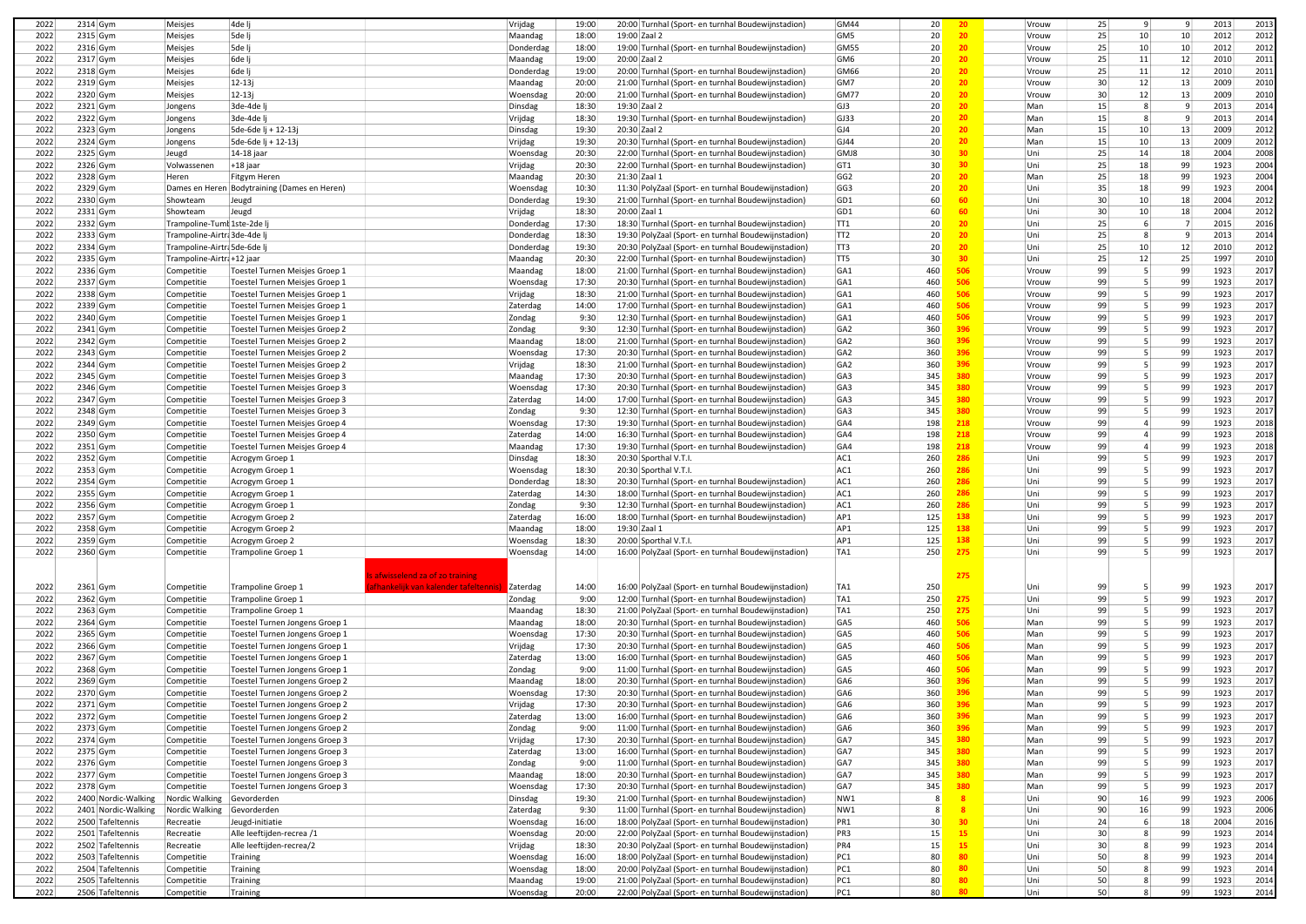| 2022 | 2314 Gym            | Meisjes                    | 4de l                                        | Vrijdag                                        | 19:00          | 20:00 Turnhal (Sport- en turnhal Boudewijnstadion   | <b>GM44</b>     | 20 <sub>2</sub> | -20 | Vrouw      | 25              | 9               | 9               | 2013         | 2013         |
|------|---------------------|----------------------------|----------------------------------------------|------------------------------------------------|----------------|-----------------------------------------------------|-----------------|-----------------|-----|------------|-----------------|-----------------|-----------------|--------------|--------------|
| 2022 | 2315 Gym            | Meisjes                    | 5de l                                        | Maandag                                        | 18:00          | 19:00 Zaal 2                                        | GM5             | 20              | 20  | Vrouw      | 25              | 10              | 10 <sup>1</sup> | 2012         | 2012         |
| 2022 | 2316 Gym            | Meisjes                    | 5de li                                       |                                                | 18:00          | 19:00 Turnhal (Sport- en turnhal Boudewijnstadion)  | <b>GM55</b>     | 20              | 20  |            | 25              | $10\,$          | 10 <sup>1</sup> | 2012         | 2012         |
|      |                     |                            |                                              | Donderdag                                      |                |                                                     |                 |                 |     | Vrouw      |                 |                 |                 |              |              |
| 2022 | 2317 Gym            | Meisjes                    | 6de lj                                       | Maandag                                        | 19:00          | 20:00 Zaal 2                                        | GM6             | 20              | 20  | Vrouw      | 25              | 11              | 12              | 2010         | 2011         |
| 2022 | 2318 Gym            | Meisjes                    | 6de li                                       | Donderdag                                      | 19:00          | 20:00 Turnhal (Sport- en turnhal Boudewijnstadion)  | GM66            | 20              | 20  | Vrouw      | 25              | 11              | 12              | 2010         | 2011         |
| 2022 | 2319 Gym            | Meisjes                    | $12 - 13j$                                   | Maandag                                        | 20:00          | 21:00 Turnhal (Sport- en turnhal Boudewijnstadion)  | GM7             | 20              |     | Vrouw      | 30              | 12              | 13              | 2009         | 2010         |
| 2022 | 2320 Gym            | Meisjes                    | $12 - 13j$                                   | Woensdag                                       | 20:00          | 21:00 Turnhal (Sport- en turnhal Boudewijnstadion)  | <b>GM77</b>     | 20              |     | Vrouw      | 30              | 12              | 13              | 2009         | 2010         |
| 2022 | 2321 Gym            | Jongens                    | 3de-4de l                                    | Dinsdag                                        | 18:30          | 19:30 Zaal 2                                        | GJ3             | 20              |     | Man        | 15              | 8               | 9               | 2013         | 2014         |
|      |                     |                            |                                              |                                                |                |                                                     |                 |                 |     |            |                 | 8               | 9               |              |              |
| 2022 | 2322 Gym            | Jongens                    | 3de-4de l                                    | Vrijdag                                        | 18:30          | 19:30 Turnhal (Sport- en turnhal Boudewijnstadion)  | GJ33            | 20              |     | Man        | 15              |                 |                 | 2013         | 2014         |
| 2022 | 2323 Gym            | Jongens                    | 5de-6de lj + 12-13j                          | Dinsdag                                        | 19:30          | 20:30 Zaal 2                                        | GJ4             | 20              |     | Man        | 15              | $10\,$          | 13              | 2009         | 2012         |
| 2022 | 2324 Gym            | Jongens                    | 5de-6de lj + 12-13j                          | Vrijdag                                        | 19:30          | 20:30 Turnhal (Sport- en turnhal Boudewijnstadion)  | GJ44            | 20              |     | Man        | 15              | 10              | 13              | 2009         | 2012         |
| 2022 | 2325 Gym            | Jeugd                      | 14-18 jaar                                   | Woensdag                                       | 20:30          | 22:00 Turnhal (Sport- en turnhal Boudewijnstadion)  | GMJ8            | 30              | 30  | Uni        | 25              | 14              | 18              | 2004         | 2008         |
| 2022 | 2326 Gym            | Volwassenen                | +18 jaar                                     | Vrijdag                                        | 20:30          | 22:00 Turnhal (Sport- en turnhal Boudewijnstadion)  | GT1             | 30              | 30  | Uni        | 25              | 18              | 99              | 1923         | 2004         |
| 2022 |                     |                            |                                              |                                                |                | 21:30 Zaal 1                                        | GG <sub>2</sub> | 20              | 20  | Man        | 25              | 18              | 99              | 1923         | 2004         |
|      | 2328 Gym            | Heren                      | Fitgym Heren                                 | Maandag                                        | 20:30          |                                                     |                 |                 |     |            |                 |                 |                 |              |              |
| 2022 | 2329 Gym            |                            | Dames en Heren Bodytraining (Dames en Heren) | Woensdag                                       | 10:30          | 11:30 PolyZaal (Sport- en turnhal Boudewijnstadion) | GG <sub>3</sub> | 20              |     | Uni        | 35              | 18              | 99              | 1923         | 2004         |
| 2022 | 2330 Gym            | Showteam                   | Jeugd                                        | Donderdag                                      | 19:30          | 21:00 Turnhal (Sport- en turnhal Boudewijnstadion)  | GD1             | 60              |     | Uni        | 30              | $10\,$          | 18              | 2004         | 2012         |
| 2022 | 2331 Gym            | Showteam                   | Jeugd                                        | Vrijdag                                        | 18:30          | 20:00 Zaal 1                                        | GD1             | 60              |     | Uni        | 30              | 10 <sup>1</sup> | 18              | 2004         | 2012         |
| 2022 | 2332 Gym            | Trampoline-Tuml 1ste-2de   |                                              | Donderdag                                      | 17:30          | 18:30 Turnhal (Sport- en turnhal Boudewijnstadion)  | TT <sub>1</sub> | 20              | 20  | Uni        | 25              | 6               | 7               | 2015         | 2016         |
| 2022 | 2333 Gym            | Trampoline-Airtr. 3de-4de  |                                              | Donderdag                                      | 18:30          | 19:30 PolyZaal (Sport- en turnhal Boudewijnstadion) | TT <sub>2</sub> | 20              |     | Uni        | 25              | 8               | 9               | 2013         | 2014         |
|      |                     |                            |                                              |                                                |                |                                                     |                 |                 |     |            |                 |                 |                 |              |              |
| 2022 | 2334 Gym            | Trampoline-Airtra 5de-6de  |                                              | Donderdag                                      | 19:30          | 20:30 PolyZaal (Sport- en turnhal Boudewijnstadion) | TT3             | 20              | 20  | Uni        | 25              | $10\,$          | 12              | 2010         | 2012         |
| 2022 | 2335 Gym            | Trampoline-Airtra +12 jaar |                                              | Maandag                                        | 20:30          | 22:00 Turnhal (Sport- en turnhal Boudewijnstadion)  | TT5             | 30              | 30  | Uni        | 25              | 12              | 25              | 1997         | 2010         |
| 2022 | 2336 Gym            | Competitie                 | Toestel Turnen Meisjes Groep 1               | Maandag                                        | 18:00          | 21:00 Turnhal (Sport- en turnhal Boudewijnstadion)  | GA <sub>1</sub> | 460             | 506 | Vrouw      | 99              | 5               | 99              | 1923         | 2017         |
| 2022 | 2337 Gym            | Competitie                 | Toestel Turnen Meisjes Groep 1               | Woensdag                                       | 17:30          | 20:30 Turnhal (Sport- en turnhal Boudewijnstadion)  | GA <sub>1</sub> | 460             | 506 | Vrouw      | 99              | 5               | 99              | 1923         | 2017         |
| 2022 | 2338 Gym            | Competitie                 | Toestel Turnen Meisjes Groep 1               | Vrijdag                                        | 18:30          | 21:00 Turnhal (Sport- en turnhal Boudewijnstadion)  | GA <sub>1</sub> | 460             | 506 | Vrouw      | 99              | 5               | 99              | 1923         | 2017         |
| 2022 | 2339 Gym            | Competitie                 | Toestel Turnen Meisjes Groep 1               | Zaterdag                                       | 14:00          | 17:00 Turnhal (Sport- en turnhal Boudewijnstadion)  | GA <sub>1</sub> | 460             | 506 | Vrouw      | 99              | 5               | 99              | 1923         | 2017         |
|      |                     |                            |                                              |                                                |                |                                                     |                 |                 |     |            |                 |                 |                 |              |              |
| 2022 | 2340 Gym            | Competitie                 | Toestel Turnen Meisjes Groep 1               | Zondag                                         | 9:30           | 12:30 Turnhal (Sport- en turnhal Boudewijnstadion)  | GA <sub>1</sub> | 460             | 506 | Vrouw      | 99              | 5               | 99              | 1923         | 2017         |
| 2022 | 2341 Gym            | Competitie                 | Toestel Turnen Meisjes Groep 2               | Zondag                                         | 9:30           | 12:30 Turnhal (Sport- en turnhal Boudewijnstadion)  | GA <sub>2</sub> | 360             | 396 | Vrouw      | 99              | 5               | 99              | 1923         | 2017         |
| 2022 | 2342 Gym            | Competitie                 | Toestel Turnen Meisjes Groep 2               | Maandag                                        | 18:00          | 21:00 Turnhal (Sport- en turnhal Boudewijnstadion)  | GA <sub>2</sub> | 360             | 396 | Vrouw      | 99              | 5               | 99              | 1923         | 2017         |
| 2022 | 2343 Gym            | Competitie                 | Toestel Turnen Meisjes Groep 2               | Woensdag                                       | 17:30          | 20:30 Turnhal (Sport- en turnhal Boudewijnstadion)  | GA <sub>2</sub> | 360             | 396 | Vrouw      | 99              | 5               | 99              | 1923         | 2017         |
| 2022 | 2344 Gym            | Competitie                 | Toestel Turnen Meisjes Groep 2               | Vrijdag                                        | 18:30          | 21:00 Turnhal (Sport- en turnhal Boudewijnstadion)  | GA <sub>2</sub> | 360             | 396 | Vrouw      | 99              | 5               | 99              | 1923         | 2017         |
| 2022 | 2345 Gym            |                            |                                              | Maandag                                        | 17:30          | 20:30 Turnhal (Sport- en turnhal Boudewijnstadion)  | GA3             | 345             | 380 | Vrouw      | 99              | 5               | 99              | 1923         | 2017         |
|      |                     | Competitie                 | Toestel Turnen Meisjes Groep 3               |                                                |                |                                                     |                 |                 |     |            |                 |                 |                 |              |              |
| 2022 | 2346 Gym            | Competitie                 | Toestel Turnen Meisjes Groep 3               | Woensdag                                       | 17:30          | 20:30 Turnhal (Sport- en turnhal Boudewijnstadion)  | GA3             | 345             | 380 | Vrouw      | 99              | 5               | 99              | 1923         | 2017         |
| 2022 | 2347 Gym            | Competitie                 | Toestel Turnen Meisjes Groep 3               | Zaterdag                                       | 14:00          | 17:00 Turnhal (Sport- en turnhal Boudewijnstadion)  | GA3             | 345             | 380 | Vrouw      | 99              | 5               | 99              | 1923         | 2017         |
| 2022 | 2348 Gym            | Competitie                 | Toestel Turnen Meisjes Groep 3               | Zondag                                         | 9:30           | 12:30 Turnhal (Sport- en turnhal Boudewijnstadion)  | GA3             | 345             | 380 | Vrouw      | 99              | 5               | 99              | 1923         | 2017         |
| 2022 | 2349 Gym            | Competitie                 | Toestel Turnen Meisjes Groep 4               | Woensdag                                       | 17:30          | 19:30 Turnhal (Sport- en turnhal Boudewijnstadion)  | GA4             | 198             | 218 | Vrouw      | 99              | $\overline{4}$  | 99              | 1923         | 2018         |
| 2022 | 2350 Gym            | Competitie                 | Toestel Turnen Meisjes Groep 4               | Zaterdag                                       | 14:00          | 16:30 Turnhal (Sport- en turnhal Boudewijnstadion)  | GA4             | 198             | 218 | Vrouw      | 99              | $\overline{4}$  | 99              | 1923         | 2018         |
|      |                     |                            |                                              |                                                |                |                                                     |                 |                 |     |            |                 |                 |                 |              |              |
| 2022 | 2351 Gym            | Competitie                 | Toestel Turnen Meisjes Groep 4               | Maandag                                        | 17:30          | 19:30 Turnhal (Sport- en turnhal Boudewijnstadion)  | GA4             | 198             | 218 | Vrouw      | 99              | $\overline{4}$  | 99              | 1923         | 2018         |
| 2022 | 2352 Gym            | Competitie                 | Acrogym Groep 1                              | Dinsdag                                        | 18:30          | 20:30 Sporthal V.T.I.                               | AC1             | 260             | 286 | Uni        | 99              | 5               | 99              | 1923         | 2017         |
| 2022 | 2353 Gym            | Competitie                 | Acrogym Groep 1                              | Woensdag                                       | 18:30          | 20:30 Sporthal V.T.I.                               | AC1             | 260             | 286 | Uni        | 99              | 5               | 99              | 1923         | 2017         |
| 2022 | 2354 Gym            | Competitie                 | Acrogym Groep 1                              | Donderdag                                      | 18:30          | 20:30 Turnhal (Sport- en turnhal Boudewijnstadion)  | AC1             | 260             | 286 | Uni        | 99              | 5               | 99              | 1923         | 2017         |
| 2022 | 2355 Gym            | Competitie                 | Acrogym Groep 1                              | Zaterdag                                       | 14:30          | 18:00 Turnhal (Sport- en turnhal Boudewijnstadion)  | AC1             | 260             | 286 | Uni        | 99              | 5               | 99              | 1923         | 2017         |
| 2022 |                     |                            |                                              |                                                | 9:30           | 12:30 Turnhal (Sport- en turnhal Boudewijnstadion)  | AC1             | 260             |     |            | 99              | 5               | 99              | 1923         | 2017         |
|      | 2356 Gym            | Competitie                 | Acrogym Groep 1                              | Zondag                                         |                |                                                     |                 |                 |     | Uni        |                 |                 |                 |              |              |
| 2022 | 2357 Gym            | Competitie                 | Acrogym Groep 2                              | Zaterdag                                       | 16:00          | 18:00 Turnhal (Sport- en turnhal Boudewijnstadion)  | AP1             | 125             | 138 | Uni        | 99              | 5               | 99              | 1923         | 2017         |
| 2022 | 2358 Gym            | Competitie                 | Acrogym Groep 2                              | Maandag                                        | 18:00          | 19:30 Zaal 1                                        | AP <sub>1</sub> | 125             | 138 | Uni        | 99              | 5               | 99              | 1923         | 2017         |
| 2022 | 2359 Gym            | Competitie                 | Acrogym Groep 2                              | Woensdag                                       | 18:30          | 20:00 Sporthal V.T.I                                | AP <sub>1</sub> | 125             | 138 | Uni        | 99              | 5               | 99              | 1923         | 201          |
| 2022 | 2360 Gym            | Competitie                 | Trampoline Groep 1                           | Woensdag                                       | 14:00          | 16:00 PolyZaal (Sport- en turnhal Boudewijnstadion) | TA <sub>1</sub> | 250             | 275 | Uni        | 99              | 5               | 99              | 1923         | 2017         |
|      |                     |                            |                                              |                                                |                |                                                     |                 |                 |     |            |                 |                 |                 |              |              |
|      |                     |                            |                                              | afwisselend za of zo training                  |                |                                                     |                 |                 | 275 |            |                 |                 |                 |              |              |
| 2022 | 2361 Gym            | Competitie                 | Trampoline Groep 1                           | ifhankelijk van kalender tafeltenn<br>Zaterdag | 14:00          | 16:00 PolyZaal (Sport- en turnhal Boudewijnstadion) | TA <sub>1</sub> | 250             |     | Uni        | 99              |                 | 99              | 1923         | 2017         |
| 2022 | 2362 Gym            | Competitie                 | Trampoline Groep 1                           | Zondag                                         | 9:00           | 12:00 Turnhal (Sport- en turnhal Boudewijnstadion)  | TA <sub>1</sub> | 250             | 275 | Uni        | 99              | 5               | 99              | 1923         | 2017         |
| 2022 | 2363 Gym            | Competitie                 | Trampoline Groep 1                           | Maandag                                        | 18:30          | 21:00 PolyZaal (Sport- en turnhal Boudewijnstadion) | TA <sub>1</sub> | 250             | 275 | Uni        | 99              | 5               | 99              | 1923         | 2017         |
| 2022 | 2364 Gym            | Competitie                 | Toestel Turnen Jongens Groep 1               | Maandag                                        | 18:00          | 20:30 Turnhal (Sport- en turnhal Boudewijnstadion)  | GA5             | 460             | 506 | Man        | 99              | 5               | 99              | 1923         | 2017         |
| 2022 | 2365 Gym            | Competitie                 | Toestel Turnen Jongens Groep 1               | Woensdag                                       | 17:30          | 20:30 Turnhal (Sport- en turnhal Boudewijnstadion)  | GA5             | 460             | 506 | Man        | 99              | 5               | 99              | 1923         | 2017         |
| 2022 | 2366 Gym            | Competitie                 | Toestel Turnen Jongens Groep 1               | Vrijdag                                        | 17:30          | 20:30 Turnhal (Sport- en turnhal Boudewijnstadion)  | GA5             | 460             | 506 | Man        | 99              | 5               | 99              | 1923         | 2017         |
|      |                     |                            |                                              |                                                | 13:00          | 16:00 Turnhal (Sport- en turnhal Boudewijnstadion)  | GA5             | 460             | 506 | Man        | 99              | 5               | 99              | 1923         |              |
| 2022 | 2367 Gym            | Competitie                 | Toestel Turnen Jongens Groep 1               | Zaterdag                                       |                |                                                     |                 |                 |     |            |                 |                 |                 |              | 2017         |
| 2022 | 2368 Gym            | Competitie                 | Toestel Turnen Jongens Groep 1               | Zondag                                         | 9:00           | 11:00 Turnhal (Sport- en turnhal Boudewijnstadion)  | GA5             | 460             | 506 | Man        | 99              | 5               | 99              | 1923         | 2017         |
| 2022 | 2369 Gym            | Competitie                 | Toestel Turnen Jongens Groep 2               | Maandag                                        | 18:00          | 20:30 Turnhal (Sport- en turnhal Boudewijnstadion)  | GA6             | 360             | 396 | Man        | 99              | 5               | 99              | 1923         | 2017         |
| 2022 | 2370 Gym            | Competitie                 | Toestel Turnen Jongens Groep 2               | Woensdag                                       | 17:30          | 20:30 Turnhal (Sport- en turnhal Boudewijnstadion)  | GA6             | 360             | 396 | Man        | 99              | 5               | 99              | 1923         | 2017         |
| 2022 | 2371 Gym            | Competitie                 | Toestel Turnen Jongens Groep 2               | Vrijdag                                        | 17:30          | 20:30 Turnhal (Sport- en turnhal Boudewijnstadion)  | GA6             | 360             |     | Man        | 99              | 5               | 99              | 1923         | 2017         |
| 2022 | 2372 Gym            | Competitie                 | Toestel Turnen Jongens Groep 2               | Zaterdag                                       | 13:00          | 16:00 Turnhal (Sport- en turnhal Boudewijnstadion)  | GA6             | 360             |     | Man        | 99              |                 | 99              | 1923         | 2017         |
| 2022 | 2373 Gym            | Competitie                 | Toestel Turnen Jongens Groep 2               | Zondag                                         | 9:00           | 11:00 Turnhal (Sport- en turnhal Boudewijnstadion)  | GA6             | 360             | 396 | Man        | 99              | 5               | 99              | 1923         | 2017         |
| 2022 |                     |                            | Toestel Turnen Jongens Groep 3               |                                                | 17:30          |                                                     | GA7             | 345             |     | Man        | 99              | 5               | 99              | 1923         |              |
|      | 2374 Gym            | Competitie                 |                                              | Vrijdag                                        |                | 20:30 Turnhal (Sport- en turnhal Boudewijnstadion)  |                 |                 | 380 |            |                 |                 |                 |              | 2017         |
| 2022 | 2375 Gym            | Competitie                 | Toestel Turnen Jongens Groep 3               | Zaterdag                                       | 13:00          | 16:00 Turnhal (Sport- en turnhal Boudewijnstadion)  | GA7             | 345             | 380 | Man        | 99              | 5               | 99              | 1923         | 2017         |
| 2022 | 2376 Gym            | Competitie                 | Toestel Turnen Jongens Groep 3               | Zondag                                         | 9:00           | 11:00 Turnhal (Sport- en turnhal Boudewijnstadion)  | GA7             | 345             | 380 | Man        | 99              | 5               | 99              | 1923         | 2017         |
| 2022 | 2377 Gym            | Competitie                 | Toestel Turnen Jongens Groep 3               | Maandag                                        | 18:00          | 20:30 Turnhal (Sport- en turnhal Boudewijnstadion)  | GA7             | 345             | 380 | Man        | 99              | 5               | 99              | 1923         | 2017         |
| 2022 | 2378 Gym            | Competitie                 | Toestel Turnen Jongens Groep 3               | Woensdag                                       | 17:30          | 20:30 Turnhal (Sport- en turnhal Boudewijnstadion)  | GA7             | 345             | 380 | Man        | 99              | 5               | 99              | 1923         | 2017         |
| 2022 | 2400 Nordic-Walking | Nordic Walking             | Gevorderden                                  | Dinsdag                                        | 19:30          | 21:00 Turnhal (Sport- en turnhal Boudewijnstadion)  | NW1             |                 |     | Uni        | 90              | 16              | 99              | 1923         | 2006         |
|      | 2401 Nordic-Walking |                            |                                              |                                                |                |                                                     |                 | 8               |     |            |                 |                 |                 |              |              |
| 2022 |                     | Nordic Walking             | Gevorderden                                  | Zaterdag                                       | 9:30           | 11:00 Turnhal (Sport- en turnhal Boudewijnstadion)  | NW1             |                 |     | Uni        | 90              | 16              | 99              | 1923         | 2006         |
| 2022 | 2500 Tafeltennis    | Recreatie                  | Jeugd-initiatie                              | Woensdag                                       | 16:00          | 18:00 PolyZaal (Sport- en turnhal Boudewijnstadion) | PR1             | 30              | 30  | Uni        | 24              | 6               | 18              | 2004         | 2016         |
| 2022 | 2501 Tafeltennis    | Recreatie                  | Alle leeftijden-recrea /1                    | Woensdag                                       | 20:00          | 22:00 PolyZaal (Sport- en turnhal Boudewijnstadion) | PR3             | 15              | 15  | Uni        | 30 <sup>°</sup> | 8               | 99              | 1923         | 2014         |
| 2022 | 2502 Tafeltennis    | Recreatie                  | Alle leeftijden-recrea/2                     | Vrijdag                                        | 18:30          | 20:30 PolyZaal (Sport- en turnhal Boudewijnstadion) | PR4             | 15              | 15  | Uni        | 30 <sup>°</sup> | 8               | 99              | 1923         | 2014         |
| 2022 | 2503 Tafeltennis    | Competitie                 | Training                                     | Woensdag                                       | 16:00          | 18:00 PolyZaal (Sport- en turnhal Boudewijnstadion) | PC1             | 80              | 80  | Uni        | 50              | 8               | 99              | 1923         | 2014         |
| 2022 | 2504 Tafeltennis    | Competitie                 | Training                                     | Woensdag                                       | 18:00          | 20:00 PolyZaal (Sport- en turnhal Boudewijnstadion) | PC1             | 80              | 80  | Uni        | 50              | 8               | 99              | 1923         | 2014         |
|      |                     |                            |                                              |                                                |                |                                                     |                 |                 |     |            |                 | 8               |                 |              |              |
| 2022 | 2505 Tafeltennis    | Competitie<br>Competitie   | Training<br>Training                         | Maandag<br>Woensdag                            | 19:00<br>20:00 | 21:00 PolyZaal (Sport- en turnhal Boudewijnstadion) | PC1<br>PC1      | 80              | 80  | Uni<br>Uni | 50<br>50        | 8               | 99<br>99        | 1923<br>1923 | 2014<br>2014 |
| 2022 | 2506 Tafeltennis    |                            |                                              |                                                |                | 22:00 PolyZaal (Sport- en turnhal Boudewijnstadion) |                 | 80              |     |            |                 |                 |                 |              |              |